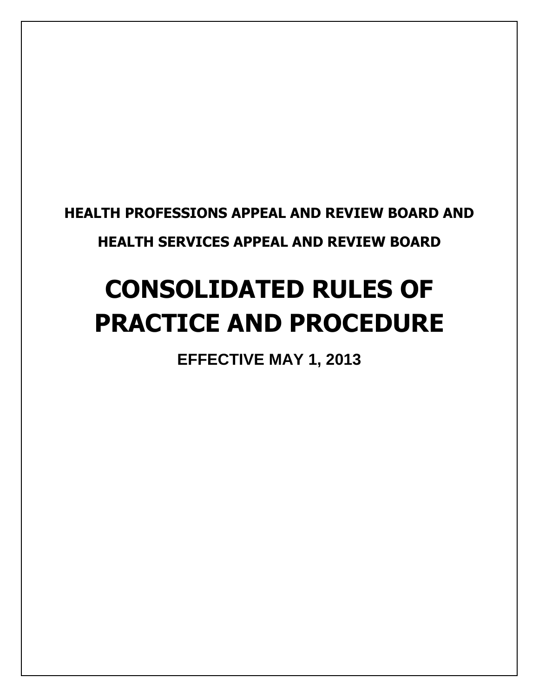**HEALTH PROFESSIONS APPEAL AND REVIEW BOARD AND HEALTH SERVICES APPEAL AND REVIEW BOARD** 

# **CONSOLIDATED RULES OF PRACTICE AND PROCEDURE**

**EFFECTIVE MAY 1, 2013**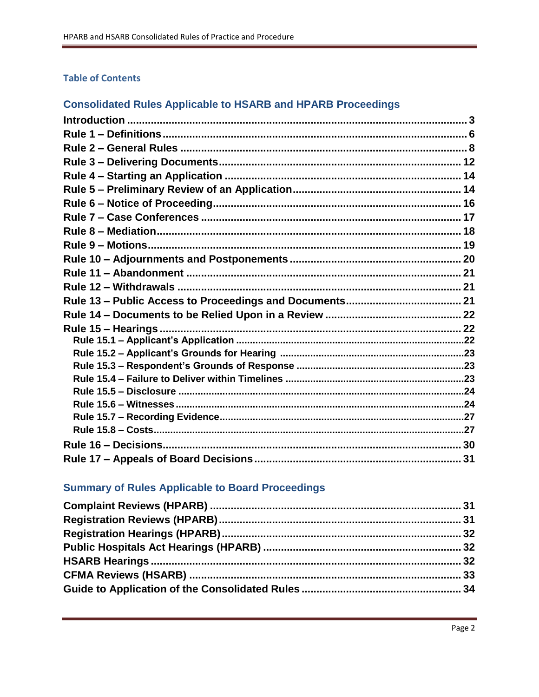### **Table of Contents**

### **Consolidated Rules Applicable to HSARB and HPARB Proceedings**

| Rule 15 - Hearings. |  |
|---------------------|--|
|                     |  |
|                     |  |
|                     |  |
|                     |  |
|                     |  |
|                     |  |
|                     |  |
|                     |  |
|                     |  |
|                     |  |

### **Summary of Rules Applicable to Board Proceedings**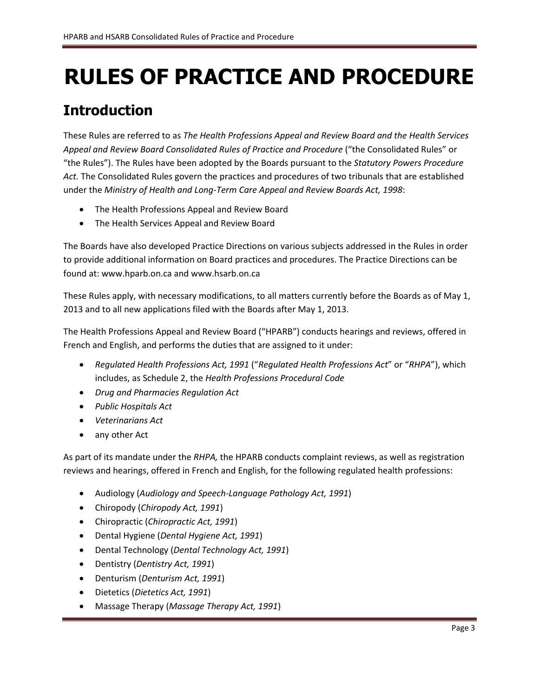# **RULES OF PRACTICE AND PROCEDURE**

# <span id="page-2-0"></span>**Introduction**

These Rules are referred to as *The Health Professions Appeal and Review Board and the Health Services Appeal and Review Board Consolidated Rules of Practice and Procedure* ("the Consolidated Rules" or "the Rules"). The Rules have been adopted by the Boards pursuant to the *Statutory Powers Procedure Act.* The Consolidated Rules govern the practices and procedures of two tribunals that are established under the *Ministry of Health and Long-Term Care Appeal and Review Boards Act, 1998*:

- The Health Professions Appeal and Review Board
- The Health Services Appeal and Review Board

The Boards have also developed Practice Directions on various subjects addressed in the Rules in order to provide additional information on Board practices and procedures. The Practice Directions can be found at[: www.hparb.on.ca](http://www.hparb.on.ca/) and www.hsarb.on.ca

These Rules apply, with necessary modifications, to all matters currently before the Boards as of May 1, 2013 and to all new applications filed with the Boards after May 1, 2013.

The Health Professions Appeal and Review Board ("HPARB") conducts hearings and reviews, offered in French and English, and performs the duties that are assigned to it under:

- *Regulated Health Professions Act, 1991* ("*Regulated Health Professions Act*" or "*RHPA*"), which includes, as Schedule 2, the *Health Professions Procedural Code*
- *Drug and Pharmacies Regulation Act*
- *Public Hospitals Act*
- *Veterinarians Act*
- any other Act

As part of its mandate under the *RHPA,* the HPARB conducts complaint reviews, as well as registration reviews and hearings, offered in French and English, for the following regulated health professions:

- Audiology (*Audiology and Speech-Language Pathology Act, 1991*)
- Chiropody (*Chiropody Act, 1991*)
- Chiropractic (*Chiropractic Act, 1991*)
- Dental Hygiene (*Dental Hygiene Act, 1991*)
- Dental Technology (*Dental Technology Act, 1991*)
- Dentistry (*Dentistry Act, 1991*)
- Denturism (*Denturism Act, 1991*)
- Dietetics (*Dietetics Act, 1991*)
- Massage Therapy (*Massage Therapy Act, 1991*)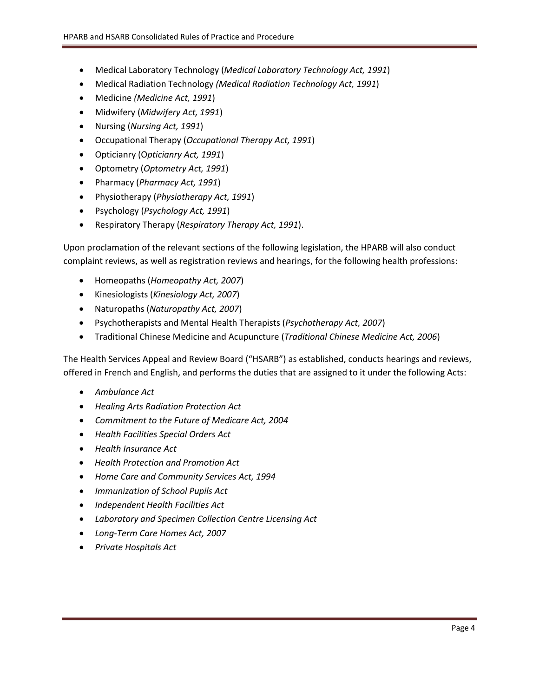- Medical Laboratory Technology (*Medical Laboratory Technology Act, 1991*)
- Medical Radiation Technology *(Medical Radiation Technology Act, 1991*)
- Medicine *(Medicine Act, 1991*)
- Midwifery (*Midwifery Act, 1991*)
- Nursing (*Nursing Act, 1991*)
- Occupational Therapy (*Occupational Therapy Act, 1991*)
- Opticianry (O*pticianry Act, 1991*)
- Optometry (*Optometry Act, 1991*)
- Pharmacy (*Pharmacy Act, 1991*)
- Physiotherapy (*Physiotherapy Act, 1991*)
- Psychology (*Psychology Act, 1991*)
- Respiratory Therapy (*Respiratory Therapy Act, 1991*).

Upon proclamation of the relevant sections of the following legislation, the HPARB will also conduct complaint reviews, as well as registration reviews and hearings, for the following health professions:

- Homeopaths (*Homeopathy Act, 2007*)
- Kinesiologists (*Kinesiology Act, 2007*)
- Naturopaths (*Naturopathy Act, 2007*)
- Psychotherapists and Mental Health Therapists (*Psychotherapy Act, 2007*)
- Traditional Chinese Medicine and Acupuncture (*Traditional Chinese Medicine Act, 2006*)

The Health Services Appeal and Review Board ("HSARB") as established, conducts hearings and reviews, offered in French and English, and performs the duties that are assigned to it under the following Acts:

- *Ambulance Act*
- *Healing Arts Radiation Protection Act*
- *Commitment to the Future of Medicare Act, 2004*
- *Health Facilities Special Orders Act*
- *Health Insurance Act*
- *Health Protection and Promotion Act*
- *Home Care and Community Services Act, 1994*
- *Immunization of School Pupils Act*
- *Independent Health Facilities Act*
- *Laboratory and Specimen Collection Centre Licensing Act*
- *Long-Term Care Homes Act, 2007*
- *Private Hospitals Act*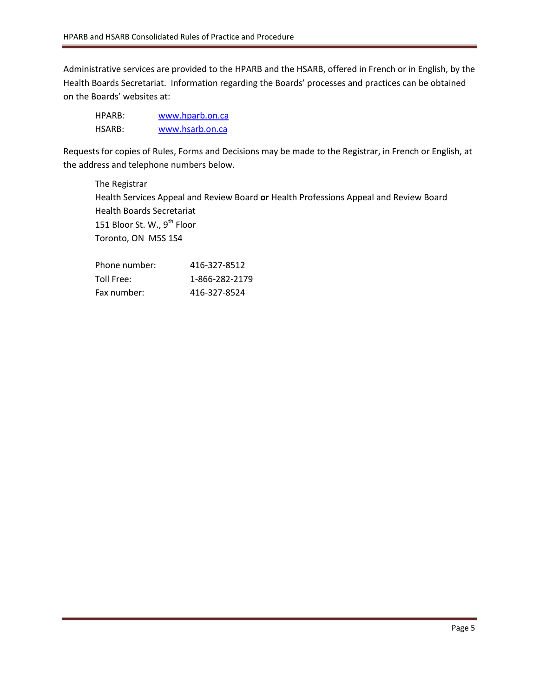Administrative services are provided to the HPARB and the HSARB, offered in French or in English, by the Health Boards Secretariat. Information regarding the Boards' processes and practices can be obtained on the Boards' websites at:

| HPARB: | www.hparb.on.ca |
|--------|-----------------|
| HSARB: | www.hsarb.on.ca |

Requests for copies of Rules, Forms and Decisions may be made to the Registrar, in French or English, at the address and telephone numbers below.

The Registrar Health Services Appeal and Review Board **or** Health Professions Appeal and Review Board Health Boards Secretariat 151 Bloor St. W., 9<sup>th</sup> Floor Toronto, ON M5S 1S4

| Phone number: | 416-327-8512   |
|---------------|----------------|
| Toll Free:    | 1-866-282-2179 |
| Fax number:   | 416-327-8524   |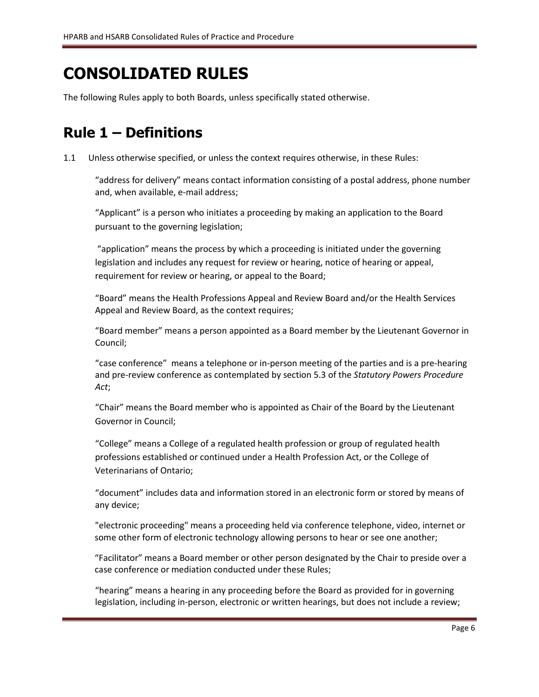# **CONSOLIDATED RULES**

The following Rules apply to both Boards, unless specifically stated otherwise.

# <span id="page-5-0"></span>**Rule 1 – Definitions**

1.1 Unless otherwise specified, or unless the context requires otherwise, in these Rules:

"address for delivery" means contact information consisting of a postal address, phone number and, when available, e-mail address;

"Applicant" is a person who initiates a proceeding by making an application to the Board pursuant to the governing legislation;

"application" means the process by which a proceeding is initiated under the governing legislation and includes any request for review or hearing, notice of hearing or appeal, requirement for review or hearing, or appeal to the Board;

"Board" means the Health Professions Appeal and Review Board and/or the Health Services Appeal and Review Board, as the context requires;

"Board member" means a person appointed as a Board member by the Lieutenant Governor in Council;

"case conference" means a telephone or in-person meeting of the parties and is a pre-hearing and pre-review conference as contemplated by section 5.3 of the *Statutory Powers Procedure Act*;

"Chair" means the Board member who is appointed as Chair of the Board by the Lieutenant Governor in Council;

"College" means a College of a regulated health profession or group of regulated health professions established or continued under a Health Profession Act, or the College of Veterinarians of Ontario;

"document" includes data and information stored in an electronic form or stored by means of any device;

"electronic proceeding" means a proceeding held via conference telephone, video, internet or some other form of electronic technology allowing persons to hear or see one another;

"Facilitator" means a Board member or other person designated by the Chair to preside over a case conference or mediation conducted under these Rules;

"hearing" means a hearing in any proceeding before the Board as provided for in governing legislation, including in-person, electronic or written hearings, but does not include a review;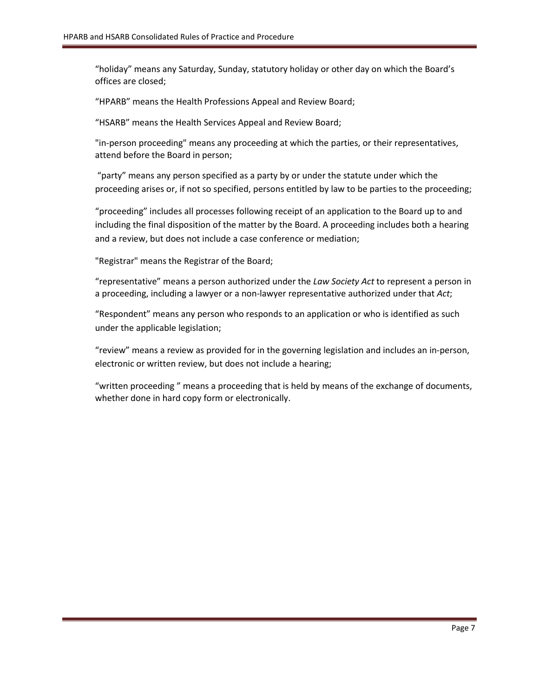"holiday" means any Saturday, Sunday, statutory holiday or other day on which the Board's offices are closed;

"HPARB" means the Health Professions Appeal and Review Board;

"HSARB" means the Health Services Appeal and Review Board;

"in-person proceeding" means any proceeding at which the parties, or their representatives, attend before the Board in person;

"party" means any person specified as a party by or under the statute under which the proceeding arises or, if not so specified, persons entitled by law to be parties to the proceeding;

"proceeding" includes all processes following receipt of an application to the Board up to and including the final disposition of the matter by the Board. A proceeding includes both a hearing and a review, but does not include a case conference or mediation;

"Registrar" means the Registrar of the Board;

"representative" means a person authorized under the *Law Society Act* to represent a person in a proceeding, including a lawyer or a non-lawyer representative authorized under that *Act*;

"Respondent" means any person who responds to an application or who is identified as such under the applicable legislation;

"review" means a review as provided for in the governing legislation and includes an in-person, electronic or written review, but does not include a hearing;

"written proceeding " means a proceeding that is held by means of the exchange of documents, whether done in hard copy form or electronically.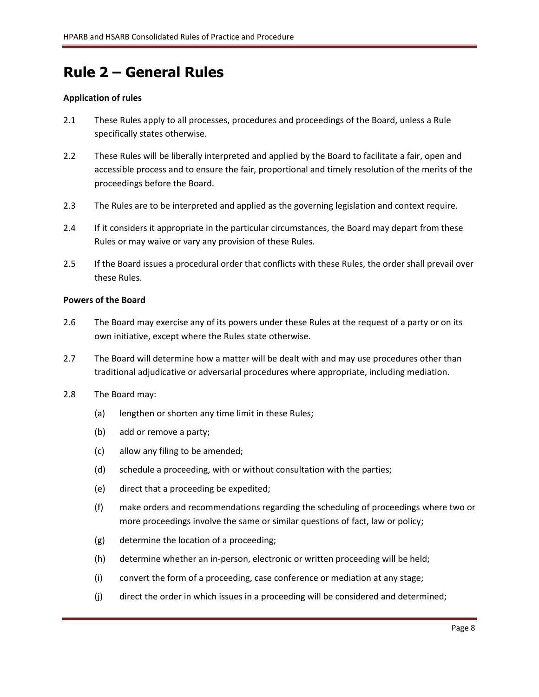## <span id="page-7-0"></span>**Rule 2 – General Rules**

### **Application of rules**

- 2.1 These Rules apply to all processes, procedures and proceedings of the Board, unless a Rule specifically states otherwise.
- 2.2 These Rules will be liberally interpreted and applied by the Board to facilitate a fair, open and accessible process and to ensure the fair, proportional and timely resolution of the merits of the proceedings before the Board.
- 2.3 The Rules are to be interpreted and applied as the governing legislation and context require.
- 2.4 If it considers it appropriate in the particular circumstances, the Board may depart from these Rules or may waive or vary any provision of these Rules.
- 2.5 If the Board issues a procedural order that conflicts with these Rules, the order shall prevail over these Rules.

### **Powers of the Board**

- 2.6 The Board may exercise any of its powers under these Rules at the request of a party or on its own initiative, except where the Rules state otherwise.
- 2.7 The Board will determine how a matter will be dealt with and may use procedures other than traditional adjudicative or adversarial procedures where appropriate, including mediation.
- 2.8 The Board may:
	- (a) lengthen or shorten any time limit in these Rules;
	- (b) add or remove a party;
	- (c) allow any filing to be amended;
	- (d) schedule a proceeding, with or without consultation with the parties;
	- (e) direct that a proceeding be expedited;
	- (f) make orders and recommendations regarding the scheduling of proceedings where two or more proceedings involve the same or similar questions of fact, law or policy;
	- (g) determine the location of a proceeding;
	- (h) determine whether an in-person, electronic or written proceeding will be held;
	- (i) convert the form of a proceeding, case conference or mediation at any stage;
	- (j) direct the order in which issues in a proceeding will be considered and determined;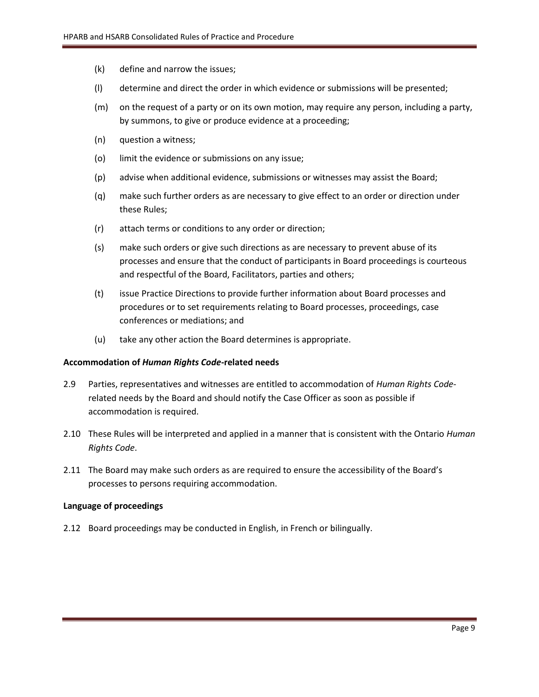- (k) define and narrow the issues;
- (l) determine and direct the order in which evidence or submissions will be presented;
- (m) on the request of a party or on its own motion, may require any person, including a party, by summons, to give or produce evidence at a proceeding;
- (n) question a witness;
- (o) limit the evidence or submissions on any issue;
- (p) advise when additional evidence, submissions or witnesses may assist the Board;
- (q) make such further orders as are necessary to give effect to an order or direction under these Rules;
- (r) attach terms or conditions to any order or direction;
- (s) make such orders or give such directions as are necessary to prevent abuse of its processes and ensure that the conduct of participants in Board proceedings is courteous and respectful of the Board, Facilitators, parties and others;
- (t) issue Practice Directions to provide further information about Board processes and procedures or to set requirements relating to Board processes, proceedings, case conferences or mediations; and
- (u) take any other action the Board determines is appropriate.

### **Accommodation of** *Human Rights Code***-related needs**

- 2.9 Parties, representatives and witnesses are entitled to accommodation of *Human Rights Code*related needs by the Board and should notify the Case Officer as soon as possible if accommodation is required.
- 2.10 These Rules will be interpreted and applied in a manner that is consistent with the Ontario *Human Rights Code*.
- 2.11 The Board may make such orders as are required to ensure the accessibility of the Board's processes to persons requiring accommodation.

### **Language of proceedings**

2.12 Board proceedings may be conducted in English, in French or bilingually.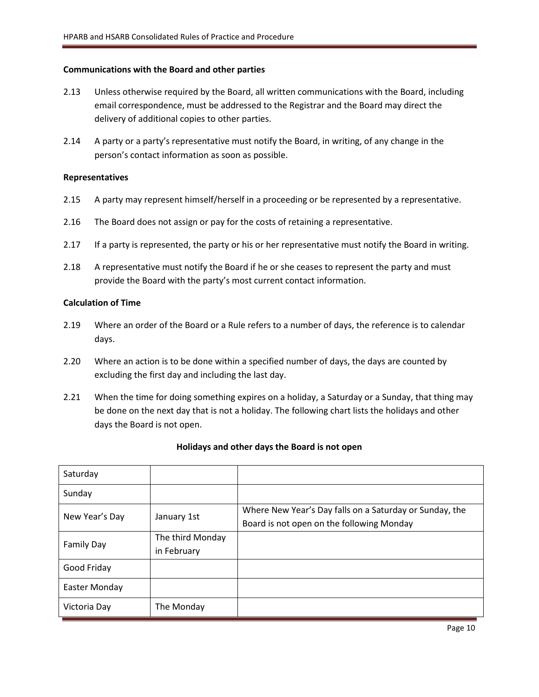### **Communications with the Board and other parties**

- 2.13 Unless otherwise required by the Board, all written communications with the Board, including email correspondence, must be addressed to the Registrar and the Board may direct the delivery of additional copies to other parties.
- 2.14 A party or a party's representative must notify the Board, in writing, of any change in the person's contact information as soon as possible.

### **Representatives**

- 2.15 A party may represent himself/herself in a proceeding or be represented by a representative.
- 2.16 The Board does not assign or pay for the costs of retaining a representative.
- 2.17 If a party is represented, the party or his or her representative must notify the Board in writing.
- 2.18 A representative must notify the Board if he or she ceases to represent the party and must provide the Board with the party's most current contact information.

### **Calculation of Time**

- 2.19 Where an order of the Board or a Rule refers to a number of days, the reference is to calendar days.
- 2.20 Where an action is to be done within a specified number of days, the days are counted by excluding the first day and including the last day.
- 2.21 When the time for doing something expires on a holiday, a Saturday or a Sunday, that thing may be done on the next day that is not a holiday. The following chart lists the holidays and other days the Board is not open.

| Saturday          |                  |                                                         |
|-------------------|------------------|---------------------------------------------------------|
| Sunday            |                  |                                                         |
|                   | January 1st      | Where New Year's Day falls on a Saturday or Sunday, the |
| New Year's Day    |                  | Board is not open on the following Monday               |
|                   | The third Monday |                                                         |
| <b>Family Day</b> | in February      |                                                         |
| Good Friday       |                  |                                                         |
| Easter Monday     |                  |                                                         |
| Victoria Day      | The Monday       |                                                         |

### **Holidays and other days the Board is not open**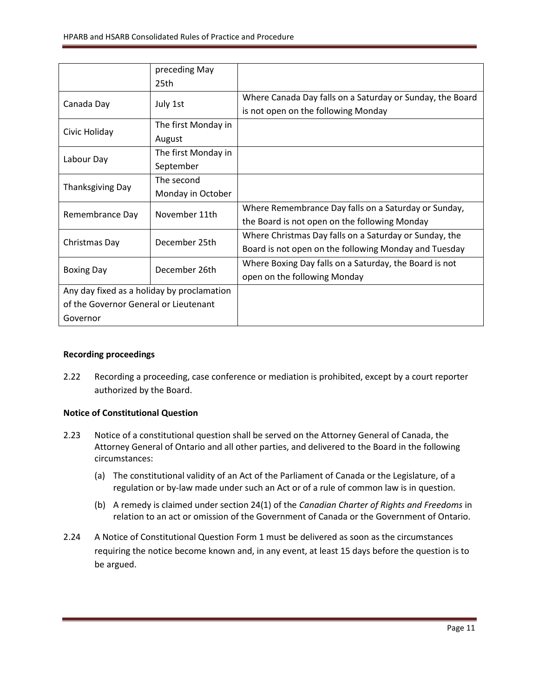|                                            | preceding May       |                                                           |
|--------------------------------------------|---------------------|-----------------------------------------------------------|
|                                            | 25th                |                                                           |
| Canada Day                                 | July 1st            | Where Canada Day falls on a Saturday or Sunday, the Board |
|                                            |                     | is not open on the following Monday                       |
| Civic Holiday                              | The first Monday in |                                                           |
|                                            | August              |                                                           |
| Labour Day                                 | The first Monday in |                                                           |
|                                            | September           |                                                           |
|                                            | The second          |                                                           |
| <b>Thanksgiving Day</b>                    | Monday in October   |                                                           |
| Remembrance Day                            | November 11th       | Where Remembrance Day falls on a Saturday or Sunday,      |
|                                            |                     | the Board is not open on the following Monday             |
| Christmas Day                              | December 25th       | Where Christmas Day falls on a Saturday or Sunday, the    |
|                                            |                     | Board is not open on the following Monday and Tuesday     |
| <b>Boxing Day</b>                          | December 26th       | Where Boxing Day falls on a Saturday, the Board is not    |
|                                            |                     | open on the following Monday                              |
| Any day fixed as a holiday by proclamation |                     |                                                           |
| of the Governor General or Lieutenant      |                     |                                                           |
| Governor                                   |                     |                                                           |

### **Recording proceedings**

2.22 Recording a proceeding, case conference or mediation is prohibited, except by a court reporter authorized by the Board.

### **Notice of Constitutional Question**

- 2.23 Notice of a constitutional question shall be served on the Attorney General of Canada, the Attorney General of Ontario and all other parties, and delivered to the Board in the following circumstances:
	- (a) The constitutional validity of an Act of the Parliament of Canada or the Legislature, of a regulation or by-law made under such an Act or of a rule of common law is in question.
	- (b) A remedy is claimed under section 24(1) of the *Canadian Charter of Rights and Freedoms* in relation to an act or omission of the Government of Canada or the Government of Ontario.
- 2.24 A Notice of Constitutional Question Form 1 must be delivered as soon as the circumstances requiring the notice become known and, in any event, at least 15 days before the question is to be argued.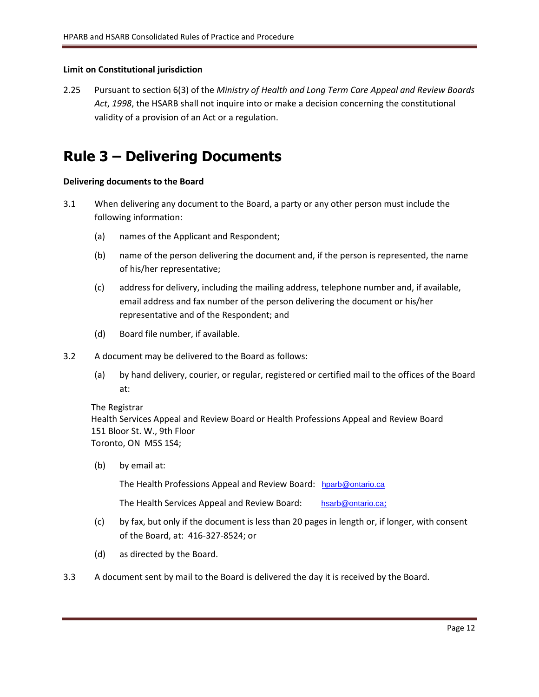### **Limit on Constitutional jurisdiction**

2.25 Pursuant to section 6(3) of the *Ministry of Health and Long Term Care Appeal and Review Boards Act*, *1998*, the HSARB shall not inquire into or make a decision concerning the constitutional validity of a provision of an Act or a regulation.

# <span id="page-11-0"></span>**Rule 3 – Delivering Documents**

### **Delivering documents to the Board**

- 3.1 When delivering any document to the Board, a party or any other person must include the following information:
	- (a) names of the Applicant and Respondent;
	- (b) name of the person delivering the document and, if the person is represented, the name of his/her representative;
	- (c) address for delivery, including the mailing address, telephone number and, if available, email address and fax number of the person delivering the document or his/her representative and of the Respondent; and
	- (d) Board file number, if available.
- 3.2 A document may be delivered to the Board as follows:
	- (a) by hand delivery, courier, or regular, registered or certified mail to the offices of the Board at:

The Registrar Health Services Appeal and Review Board or Health Professions Appeal and Review Board 151 Bloor St. W., 9th Floor Toronto, ON M5S 1S4;

(b) by email at:

The Health Professions Appeal and Review Board: [hparb@ontario.ca](mailto:hparb@ontario.ca)

The Health Services Appeal and Review Board: [hsarb@ontario.ca](mailto:hsarb@ontario.ca);

- (c) by fax, but only if the document is less than 20 pages in length or, if longer, with consent of the Board, at: 416-327-8524; or
- (d) as directed by the Board.
- 3.3 A document sent by mail to the Board is delivered the day it is received by the Board.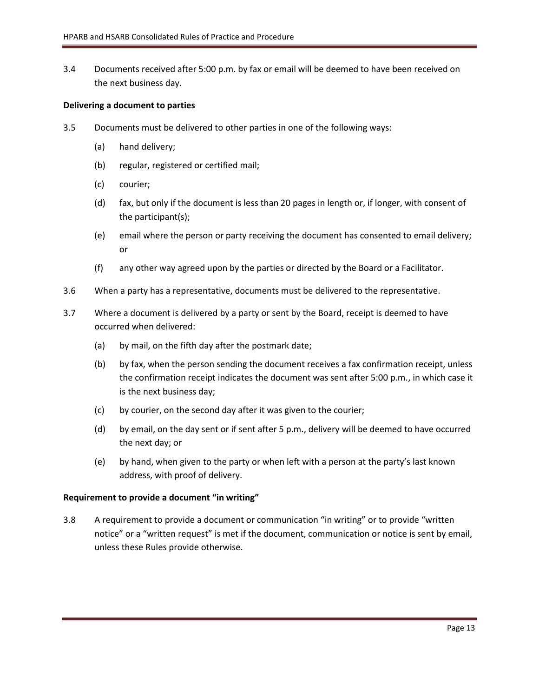3.4 Documents received after 5:00 p.m. by fax or email will be deemed to have been received on the next business day.

### **Delivering a document to parties**

- 3.5 Documents must be delivered to other parties in one of the following ways:
	- (a) hand delivery;
	- (b) regular, registered or certified mail;
	- (c) courier;
	- (d) fax, but only if the document is less than 20 pages in length or, if longer, with consent of the participant(s);
	- (e) email where the person or party receiving the document has consented to email delivery; or
	- (f) any other way agreed upon by the parties or directed by the Board or a Facilitator.
- 3.6 When a party has a representative, documents must be delivered to the representative.
- 3.7 Where a document is delivered by a party or sent by the Board, receipt is deemed to have occurred when delivered:
	- (a) by mail, on the fifth day after the postmark date;
	- (b) by fax, when the person sending the document receives a fax confirmation receipt, unless the confirmation receipt indicates the document was sent after 5:00 p.m., in which case it is the next business day;
	- (c) by courier, on the second day after it was given to the courier;
	- (d) by email, on the day sent or if sent after 5 p.m., delivery will be deemed to have occurred the next day; or
	- (e) by hand, when given to the party or when left with a person at the party's last known address, with proof of delivery.

### **Requirement to provide a document "in writing"**

3.8 A requirement to provide a document or communication "in writing" or to provide "written notice" or a "written request" is met if the document, communication or notice is sent by email, unless these Rules provide otherwise.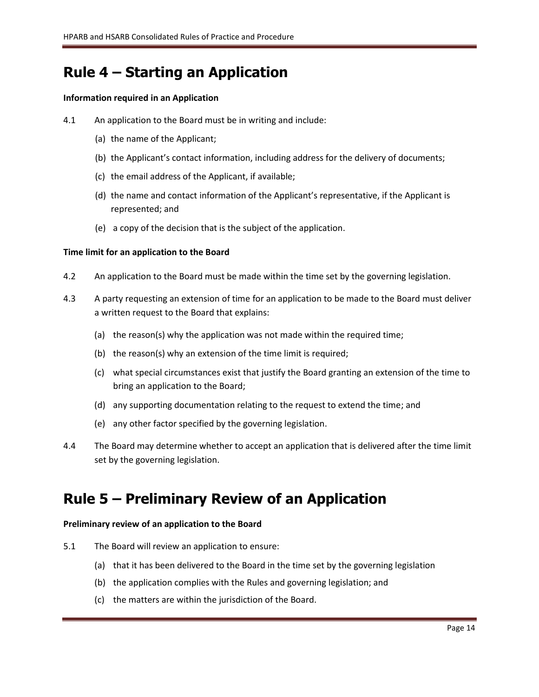# <span id="page-13-0"></span>**Rule 4 – Starting an Application**

### **Information required in an Application**

- 4.1 An application to the Board must be in writing and include:
	- (a) the name of the Applicant;
	- (b) the Applicant's contact information, including address for the delivery of documents;
	- (c) the email address of the Applicant, if available;
	- (d) the name and contact information of the Applicant's representative, if the Applicant is represented; and
	- (e) a copy of the decision that is the subject of the application.

### **Time limit for an application to the Board**

- 4.2 An application to the Board must be made within the time set by the governing legislation.
- 4.3 A party requesting an extension of time for an application to be made to the Board must deliver a written request to the Board that explains:
	- (a) the reason(s) why the application was not made within the required time;
	- (b) the reason(s) why an extension of the time limit is required;
	- (c) what special circumstances exist that justify the Board granting an extension of the time to bring an application to the Board;
	- (d) any supporting documentation relating to the request to extend the time; and
	- (e) any other factor specified by the governing legislation.
- 4.4 The Board may determine whether to accept an application that is delivered after the time limit set by the governing legislation.

### <span id="page-13-1"></span>**Rule 5 – Preliminary Review of an Application**

### **Preliminary review of an application to the Board**

- 5.1 The Board will review an application to ensure:
	- (a) that it has been delivered to the Board in the time set by the governing legislation
	- (b) the application complies with the Rules and governing legislation; and
	- (c) the matters are within the jurisdiction of the Board.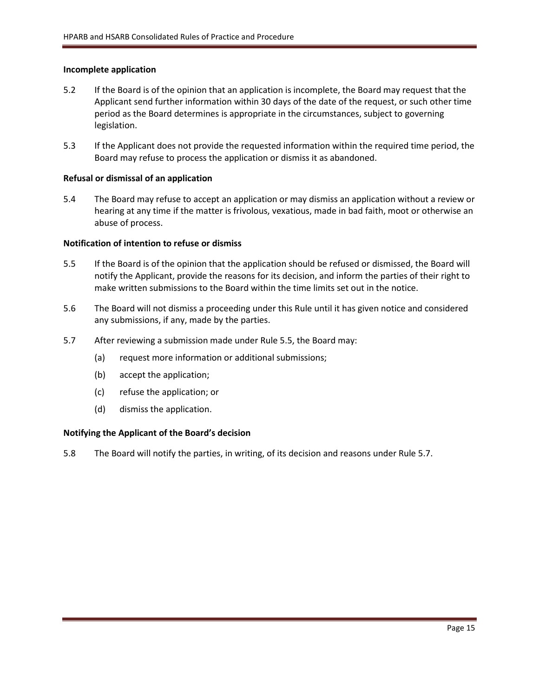### **Incomplete application**

- 5.2 If the Board is of the opinion that an application is incomplete, the Board may request that the Applicant send further information within 30 days of the date of the request, or such other time period as the Board determines is appropriate in the circumstances, subject to governing legislation.
- 5.3 If the Applicant does not provide the requested information within the required time period, the Board may refuse to process the application or dismiss it as abandoned.

### **Refusal or dismissal of an application**

5.4 The Board may refuse to accept an application or may dismiss an application without a review or hearing at any time if the matter is frivolous, vexatious, made in bad faith, moot or otherwise an abuse of process.

### **Notification of intention to refuse or dismiss**

- 5.5 If the Board is of the opinion that the application should be refused or dismissed, the Board will notify the Applicant, provide the reasons for its decision, and inform the parties of their right to make written submissions to the Board within the time limits set out in the notice.
- 5.6 The Board will not dismiss a proceeding under this Rule until it has given notice and considered any submissions, if any, made by the parties.
- 5.7 After reviewing a submission made under Rule 5.5, the Board may:
	- (a) request more information or additional submissions;
	- (b) accept the application;
	- (c) refuse the application; or
	- (d) dismiss the application.

### **Notifying the Applicant of the Board's decision**

5.8 The Board will notify the parties, in writing, of its decision and reasons under Rule 5.7.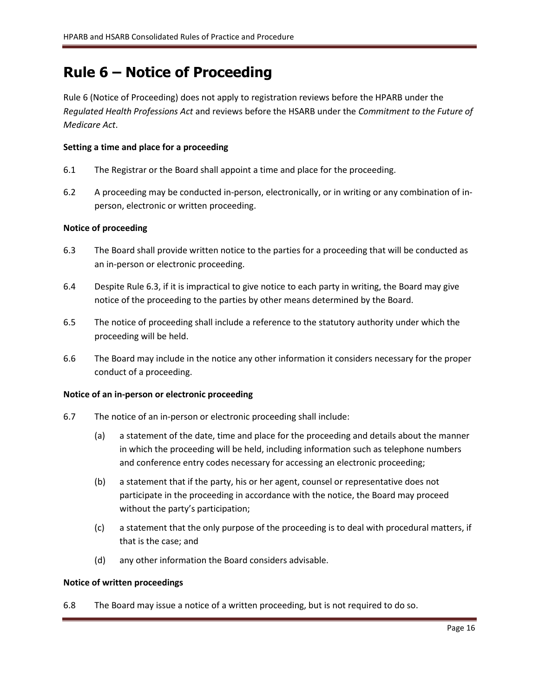# <span id="page-15-0"></span>**Rule 6 – Notice of Proceeding**

Rule 6 (Notice of Proceeding) does not apply to registration reviews before the HPARB under the *Regulated Health Professions Act* and reviews before the HSARB under the *Commitment to the Future of Medicare Act*.

### **Setting a time and place for a proceeding**

- 6.1 The Registrar or the Board shall appoint a time and place for the proceeding.
- 6.2 A proceeding may be conducted in-person, electronically, or in writing or any combination of inperson, electronic or written proceeding.

### **Notice of proceeding**

- 6.3 The Board shall provide written notice to the parties for a proceeding that will be conducted as an in-person or electronic proceeding.
- 6.4 Despite Rule 6.3, if it is impractical to give notice to each party in writing, the Board may give notice of the proceeding to the parties by other means determined by the Board.
- 6.5 The notice of proceeding shall include a reference to the statutory authority under which the proceeding will be held.
- 6.6 The Board may include in the notice any other information it considers necessary for the proper conduct of a proceeding.

### **Notice of an in-person or electronic proceeding**

- 6.7 The notice of an in-person or electronic proceeding shall include:
	- (a) a statement of the date, time and place for the proceeding and details about the manner in which the proceeding will be held, including information such as telephone numbers and conference entry codes necessary for accessing an electronic proceeding;
	- (b) a statement that if the party, his or her agent, counsel or representative does not participate in the proceeding in accordance with the notice, the Board may proceed without the party's participation;
	- (c) a statement that the only purpose of the proceeding is to deal with procedural matters, if that is the case; and
	- (d) any other information the Board considers advisable.

### **Notice of written proceedings**

6.8 The Board may issue a notice of a written proceeding, but is not required to do so.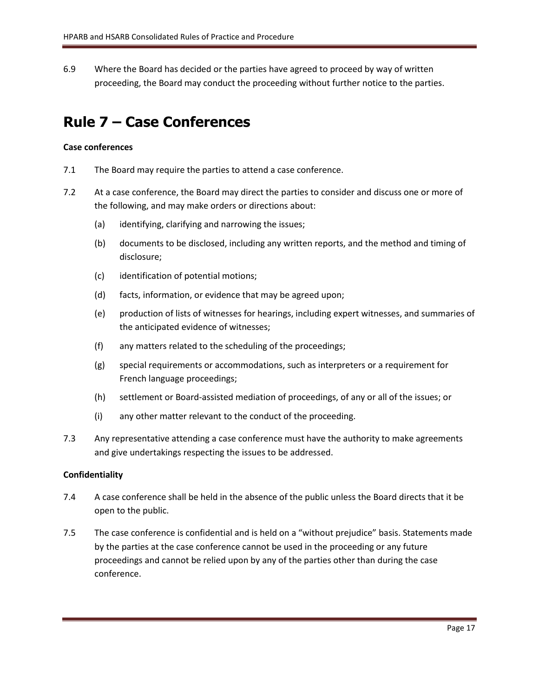6.9 Where the Board has decided or the parties have agreed to proceed by way of written proceeding, the Board may conduct the proceeding without further notice to the parties.

### <span id="page-16-0"></span>**Rule 7 – Case Conferences**

### **Case conferences**

- 7.1 The Board may require the parties to attend a case conference.
- 7.2 At a case conference, the Board may direct the parties to consider and discuss one or more of the following, and may make orders or directions about:
	- (a) identifying, clarifying and narrowing the issues;
	- (b) documents to be disclosed, including any written reports, and the method and timing of disclosure;
	- (c) identification of potential motions;
	- (d) facts, information, or evidence that may be agreed upon;
	- (e) production of lists of witnesses for hearings, including expert witnesses, and summaries of the anticipated evidence of witnesses;
	- (f) any matters related to the scheduling of the proceedings;
	- (g) special requirements or accommodations, such as interpreters or a requirement for French language proceedings;
	- (h) settlement or Board-assisted mediation of proceedings, of any or all of the issues; or
	- (i) any other matter relevant to the conduct of the proceeding.
- 7.3 Any representative attending a case conference must have the authority to make agreements and give undertakings respecting the issues to be addressed.

### **Confidentiality**

- 7.4 A case conference shall be held in the absence of the public unless the Board directs that it be open to the public.
- 7.5 The case conference is confidential and is held on a "without prejudice" basis. Statements made by the parties at the case conference cannot be used in the proceeding or any future proceedings and cannot be relied upon by any of the parties other than during the case conference.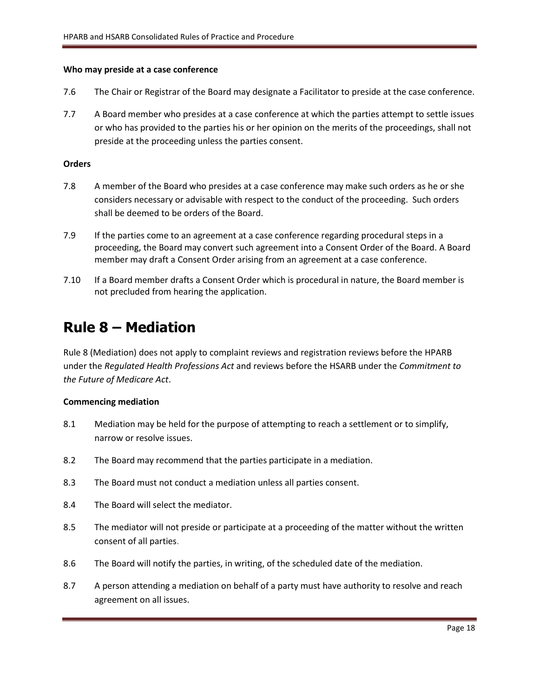### **Who may preside at a case conference**

- 7.6 The Chair or Registrar of the Board may designate a Facilitator to preside at the case conference.
- 7.7 A Board member who presides at a case conference at which the parties attempt to settle issues or who has provided to the parties his or her opinion on the merits of the proceedings, shall not preside at the proceeding unless the parties consent.

### **Orders**

- 7.8 A member of the Board who presides at a case conference may make such orders as he or she considers necessary or advisable with respect to the conduct of the proceeding. Such orders shall be deemed to be orders of the Board.
- 7.9 If the parties come to an agreement at a case conference regarding procedural steps in a proceeding, the Board may convert such agreement into a Consent Order of the Board. A Board member may draft a Consent Order arising from an agreement at a case conference.
- 7.10 If a Board member drafts a Consent Order which is procedural in nature, the Board member is not precluded from hearing the application.

### <span id="page-17-0"></span>**Rule 8 – Mediation**

Rule 8 (Mediation) does not apply to complaint reviews and registration reviews before the HPARB under the *Regulated Health Professions Act* and reviews before the HSARB under the *Commitment to the Future of Medicare Act*.

### **Commencing mediation**

- 8.1 Mediation may be held for the purpose of attempting to reach a settlement or to simplify, narrow or resolve issues.
- 8.2 The Board may recommend that the parties participate in a mediation.
- 8.3 The Board must not conduct a mediation unless all parties consent.
- 8.4 The Board will select the mediator.
- 8.5 The mediator will not preside or participate at a proceeding of the matter without the written consent of all parties.
- 8.6 The Board will notify the parties, in writing, of the scheduled date of the mediation.
- 8.7 A person attending a mediation on behalf of a party must have authority to resolve and reach agreement on all issues.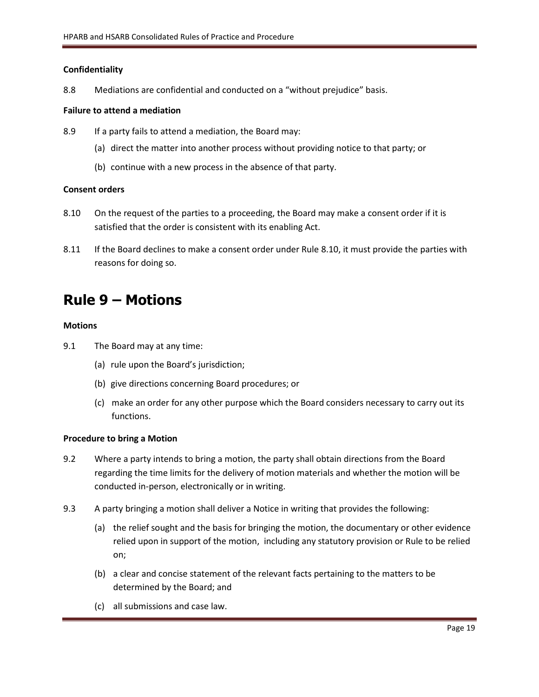### **Confidentiality**

8.8 Mediations are confidential and conducted on a "without prejudice" basis.

### **Failure to attend a mediation**

- 8.9 If a party fails to attend a mediation, the Board may:
	- (a) direct the matter into another process without providing notice to that party; or
	- (b) continue with a new process in the absence of that party.

### **Consent orders**

- 8.10 On the request of the parties to a proceeding, the Board may make a consent order if it is satisfied that the order is consistent with its enabling Act.
- 8.11 If the Board declines to make a consent order under Rule 8.10, it must provide the parties with reasons for doing so.

### <span id="page-18-0"></span>**Rule 9 – Motions**

### **Motions**

- 9.1 The Board may at any time:
	- (a) rule upon the Board's jurisdiction;
	- (b) give directions concerning Board procedures; or
	- (c) make an order for any other purpose which the Board considers necessary to carry out its functions.

### **Procedure to bring a Motion**

- 9.2 Where a party intends to bring a motion, the party shall obtain directions from the Board regarding the time limits for the delivery of motion materials and whether the motion will be conducted in-person, electronically or in writing.
- 9.3 A party bringing a motion shall deliver a Notice in writing that provides the following:
	- (a) the relief sought and the basis for bringing the motion, the documentary or other evidence relied upon in support of the motion, including any statutory provision or Rule to be relied on;
	- (b) a clear and concise statement of the relevant facts pertaining to the matters to be determined by the Board; and
	- (c) all submissions and case law.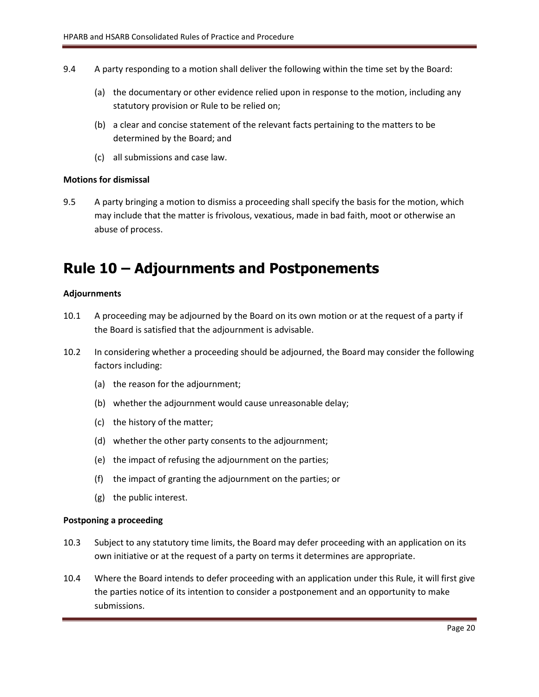- 9.4 A party responding to a motion shall deliver the following within the time set by the Board:
	- (a) the documentary or other evidence relied upon in response to the motion, including any statutory provision or Rule to be relied on;
	- (b) a clear and concise statement of the relevant facts pertaining to the matters to be determined by the Board; and
	- (c) all submissions and case law.

### **Motions for dismissal**

9.5 A party bringing a motion to dismiss a proceeding shall specify the basis for the motion, which may include that the matter is frivolous, vexatious, made in bad faith, moot or otherwise an abuse of process.

### <span id="page-19-0"></span>**Rule 10 – Adjournments and Postponements**

### **Adjournments**

- 10.1 A proceeding may be adjourned by the Board on its own motion or at the request of a party if the Board is satisfied that the adjournment is advisable.
- 10.2 In considering whether a proceeding should be adjourned, the Board may consider the following factors including:
	- (a) the reason for the adjournment;
	- (b) whether the adjournment would cause unreasonable delay;
	- (c) the history of the matter;
	- (d) whether the other party consents to the adjournment;
	- (e) the impact of refusing the adjournment on the parties;
	- (f) the impact of granting the adjournment on the parties; or
	- (g) the public interest.

### **Postponing a proceeding**

- 10.3 Subject to any statutory time limits, the Board may defer proceeding with an application on its own initiative or at the request of a party on terms it determines are appropriate.
- 10.4 Where the Board intends to defer proceeding with an application under this Rule, it will first give the parties notice of its intention to consider a postponement and an opportunity to make submissions.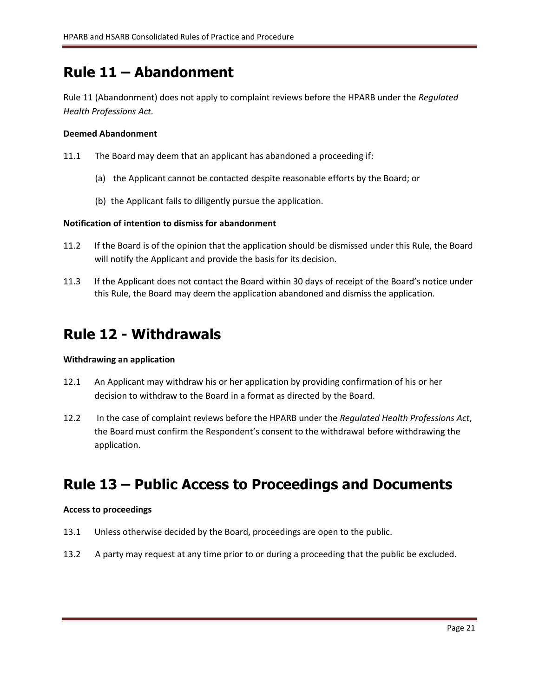# <span id="page-20-0"></span>**Rule 11 – Abandonment**

Rule 11 (Abandonment) does not apply to complaint reviews before the HPARB under the *Regulated Health Professions Act.*

### **Deemed Abandonment**

- 11.1 The Board may deem that an applicant has abandoned a proceeding if:
	- (a) the Applicant cannot be contacted despite reasonable efforts by the Board; or
	- (b) the Applicant fails to diligently pursue the application.

### **Notification of intention to dismiss for abandonment**

- 11.2 If the Board is of the opinion that the application should be dismissed under this Rule, the Board will notify the Applicant and provide the basis for its decision.
- 11.3 If the Applicant does not contact the Board within 30 days of receipt of the Board's notice under this Rule, the Board may deem the application abandoned and dismiss the application.

### <span id="page-20-1"></span>**Rule 12 - Withdrawals**

### **Withdrawing an application**

- 12.1 An Applicant may withdraw his or her application by providing confirmation of his or her decision to withdraw to the Board in a format as directed by the Board.
- 12.2 In the case of complaint reviews before the HPARB under the *Regulated Health Professions Act*, the Board must confirm the Respondent's consent to the withdrawal before withdrawing the application.

# <span id="page-20-2"></span>**Rule 13 – Public Access to Proceedings and Documents**

### **Access to proceedings**

- 13.1 Unless otherwise decided by the Board, proceedings are open to the public.
- 13.2 A party may request at any time prior to or during a proceeding that the public be excluded.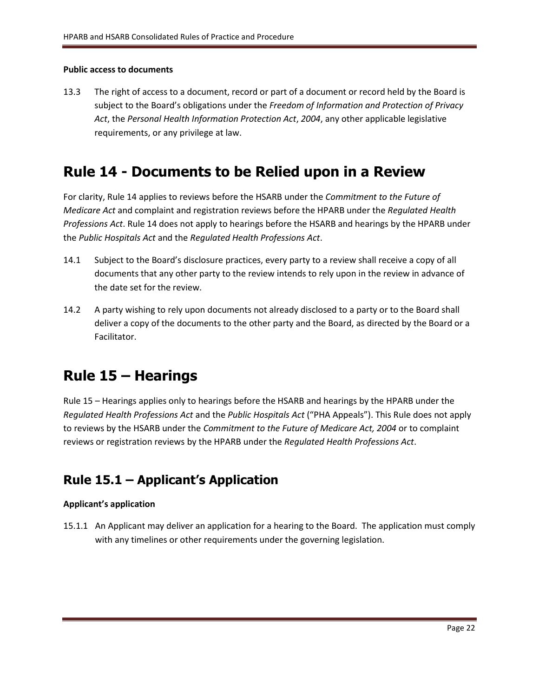### **Public access to documents**

13.3 The right of access to a document, record or part of a document or record held by the Board is subject to the Board's obligations under the *Freedom of Information and Protection of Privacy Act*, the *Personal Health Information Protection Act*, *2004*, any other applicable legislative requirements, or any privilege at law.

### <span id="page-21-0"></span>**Rule 14 - Documents to be Relied upon in a Review**

For clarity, Rule 14 applies to reviews before the HSARB under the *Commitment to the Future of Medicare Act* and complaint and registration reviews before the HPARB under the *Regulated Health Professions Act*. Rule 14 does not apply to hearings before the HSARB and hearings by the HPARB under the *Public Hospitals Act* and the *Regulated Health Professions Act*.

- 14.1 Subject to the Board's disclosure practices, every party to a review shall receive a copy of all documents that any other party to the review intends to rely upon in the review in advance of the date set for the review.
- 14.2 A party wishing to rely upon documents not already disclosed to a party or to the Board shall deliver a copy of the documents to the other party and the Board, as directed by the Board or a Facilitator.

# <span id="page-21-1"></span>**Rule 15 – Hearings**

Rule 15 – Hearings applies only to hearings before the HSARB and hearings by the HPARB under the *Regulated Health Professions Act* and the *Public Hospitals Act* ("PHA Appeals"). This Rule does not apply to reviews by the HSARB under the *Commitment to the Future of Medicare Act, 2004* or to complaint reviews or registration reviews by the HPARB under the *Regulated Health Professions Act*.

### <span id="page-21-2"></span>**Rule 15.1 – Applicant's Application**

### **Applicant's application**

15.1.1 An Applicant may deliver an application for a hearing to the Board. The application must comply with any timelines or other requirements under the governing legislation.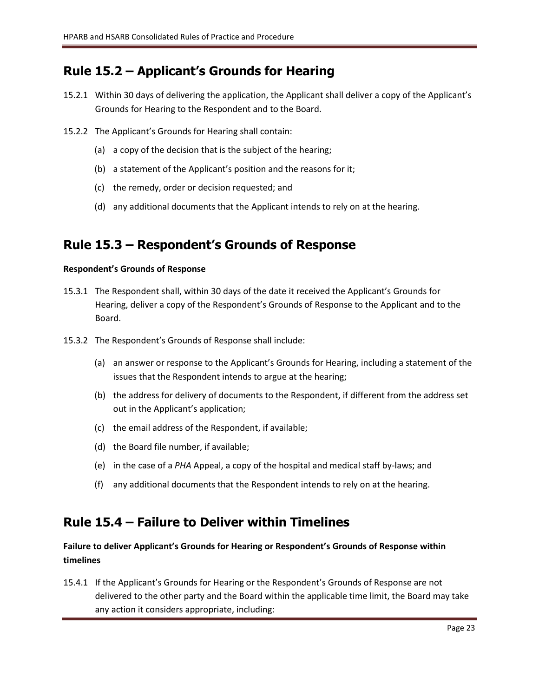### <span id="page-22-0"></span>**Rule 15.2 – Applicant's Grounds for Hearing**

- 15.2.1 Within 30 days of delivering the application, the Applicant shall deliver a copy of the Applicant's Grounds for Hearing to the Respondent and to the Board.
- 15.2.2 The Applicant's Grounds for Hearing shall contain:
	- (a) a copy of the decision that is the subject of the hearing;
	- (b) a statement of the Applicant's position and the reasons for it;
	- (c) the remedy, order or decision requested; and
	- (d) any additional documents that the Applicant intends to rely on at the hearing.

### <span id="page-22-1"></span>**Rule 15.3 – Respondent's Grounds of Response**

### **Respondent's Grounds of Response**

- 15.3.1 The Respondent shall, within 30 days of the date it received the Applicant's Grounds for Hearing, deliver a copy of the Respondent's Grounds of Response to the Applicant and to the Board.
- 15.3.2 The Respondent's Grounds of Response shall include:
	- (a) an answer or response to the Applicant's Grounds for Hearing, including a statement of the issues that the Respondent intends to argue at the hearing;
	- (b) the address for delivery of documents to the Respondent, if different from the address set out in the Applicant's application;
	- (c) the email address of the Respondent, if available;
	- (d) the Board file number, if available;
	- (e) in the case of a *PHA* Appeal, a copy of the hospital and medical staff by-laws; and
	- (f) any additional documents that the Respondent intends to rely on at the hearing.

### <span id="page-22-2"></span>**Rule 15.4 – Failure to Deliver within Timelines**

### **Failure to deliver Applicant's Grounds for Hearing or Respondent's Grounds of Response within timelines**

15.4.1 If the Applicant's Grounds for Hearing or the Respondent's Grounds of Response are not delivered to the other party and the Board within the applicable time limit, the Board may take any action it considers appropriate, including: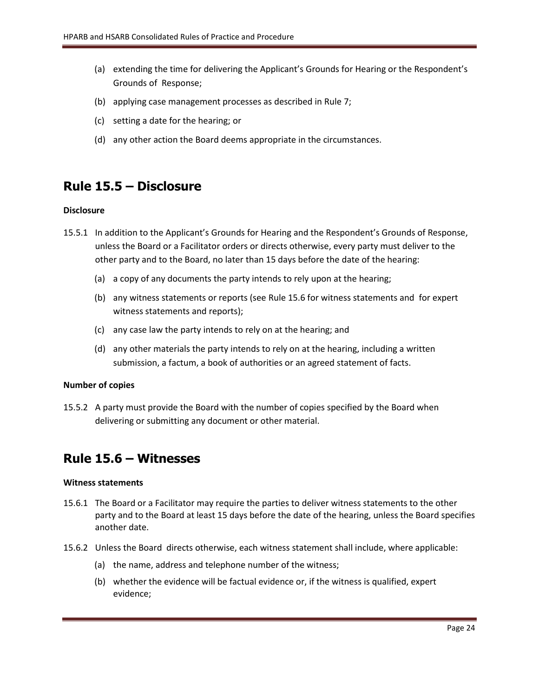- (a) extending the time for delivering the Applicant's Grounds for Hearing or the Respondent's Grounds of Response;
- (b) applying case management processes as described in Rule 7;
- (c) setting a date for the hearing; or
- (d) any other action the Board deems appropriate in the circumstances.

### <span id="page-23-0"></span>**Rule 15.5 – Disclosure**

### **Disclosure**

- 15.5.1 In addition to the Applicant's Grounds for Hearing and the Respondent's Grounds of Response, unless the Board or a Facilitator orders or directs otherwise, every party must deliver to the other party and to the Board, no later than 15 days before the date of the hearing:
	- (a) a copy of any documents the party intends to rely upon at the hearing;
	- (b) any witness statements or reports (see Rule 15.6 for witness statements and for expert witness statements and reports);
	- (c) any case law the party intends to rely on at the hearing; and
	- (d) any other materials the party intends to rely on at the hearing, including a written submission, a factum, a book of authorities or an agreed statement of facts.

### **Number of copies**

15.5.2 A party must provide the Board with the number of copies specified by the Board when delivering or submitting any document or other material.

### <span id="page-23-1"></span>**Rule 15.6 – Witnesses**

### **Witness statements**

- 15.6.1 The Board or a Facilitator may require the parties to deliver witness statements to the other party and to the Board at least 15 days before the date of the hearing, unless the Board specifies another date.
- 15.6.2 Unless the Board directs otherwise, each witness statement shall include, where applicable:
	- (a) the name, address and telephone number of the witness;
	- (b) whether the evidence will be factual evidence or, if the witness is qualified, expert evidence;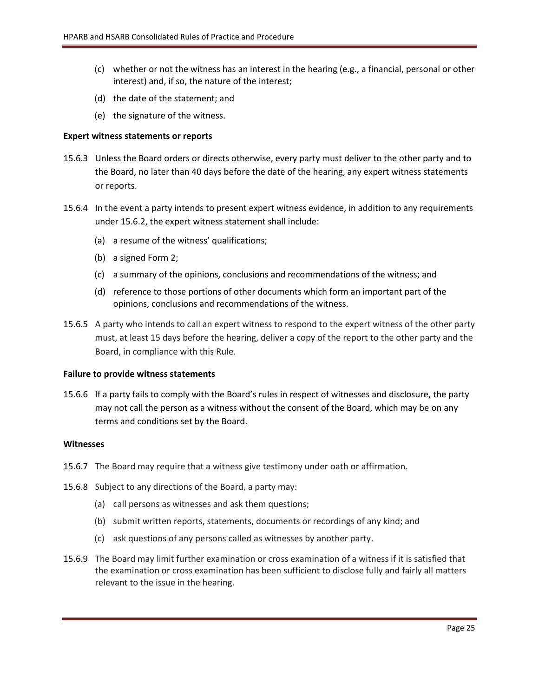- (c) whether or not the witness has an interest in the hearing (e.g., a financial, personal or other interest) and, if so, the nature of the interest;
- (d) the date of the statement; and
- (e) the signature of the witness.

### **Expert witness statements or reports**

- 15.6.3 Unless the Board orders or directs otherwise, every party must deliver to the other party and to the Board, no later than 40 days before the date of the hearing, any expert witness statements or reports.
- 15.6.4 In the event a party intends to present expert witness evidence, in addition to any requirements under 15.6.2, the expert witness statement shall include:
	- (a) a resume of the witness' qualifications;
	- (b) a signed Form 2;
	- (c) a summary of the opinions, conclusions and recommendations of the witness; and
	- (d) reference to those portions of other documents which form an important part of the opinions, conclusions and recommendations of the witness.
- 15.6.5 A party who intends to call an expert witness to respond to the expert witness of the other party must, at least 15 days before the hearing, deliver a copy of the report to the other party and the Board, in compliance with this Rule.

### **Failure to provide witness statements**

15.6.6 If a party fails to comply with the Board's rules in respect of witnesses and disclosure, the party may not call the person as a witness without the consent of the Board, which may be on any terms and conditions set by the Board.

### **Witnesses**

- 15.6.7 The Board may require that a witness give testimony under oath or affirmation.
- 15.6.8 Subject to any directions of the Board, a party may:
	- (a) call persons as witnesses and ask them questions;
	- (b) submit written reports, statements, documents or recordings of any kind; and
	- (c) ask questions of any persons called as witnesses by another party.
- 15.6.9 The Board may limit further examination or cross examination of a witness if it is satisfied that the examination or cross examination has been sufficient to disclose fully and fairly all matters relevant to the issue in the hearing.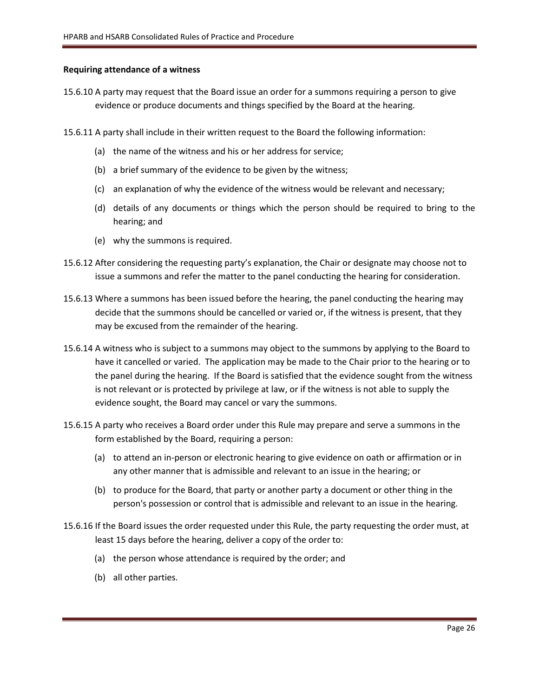### **Requiring attendance of a witness**

- 15.6.10 A party may request that the Board issue an order for a summons requiring a person to give evidence or produce documents and things specified by the Board at the hearing.
- 15.6.11 A party shall include in their written request to the Board the following information:
	- (a) the name of the witness and his or her address for service;
	- (b) a brief summary of the evidence to be given by the witness;
	- (c) an explanation of why the evidence of the witness would be relevant and necessary;
	- (d) details of any documents or things which the person should be required to bring to the hearing; and
	- (e) why the summons is required.
- 15.6.12 After considering the requesting party's explanation, the Chair or designate may choose not to issue a summons and refer the matter to the panel conducting the hearing for consideration.
- 15.6.13 Where a summons has been issued before the hearing, the panel conducting the hearing may decide that the summons should be cancelled or varied or, if the witness is present, that they may be excused from the remainder of the hearing.
- 15.6.14 A witness who is subject to a summons may object to the summons by applying to the Board to have it cancelled or varied. The application may be made to the Chair prior to the hearing or to the panel during the hearing. If the Board is satisfied that the evidence sought from the witness is not relevant or is protected by privilege at law, or if the witness is not able to supply the evidence sought, the Board may cancel or vary the summons.
- 15.6.15 A party who receives a Board order under this Rule may prepare and serve a summons in the form established by the Board, requiring a person:
	- (a) to attend an in-person or electronic hearing to give evidence on oath or affirmation or in any other manner that is admissible and relevant to an issue in the hearing; or
	- (b) to produce for the Board, that party or another party a document or other thing in the person's possession or control that is admissible and relevant to an issue in the hearing.
- 15.6.16 If the Board issues the order requested under this Rule, the party requesting the order must, at least 15 days before the hearing, deliver a copy of the order to:
	- (a) the person whose attendance is required by the order; and
	- (b) all other parties.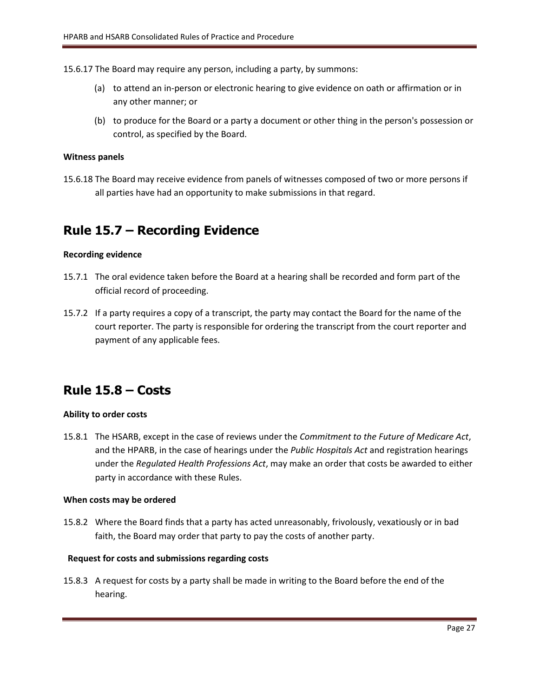15.6.17 The Board may require any person, including a party, by summons:

- (a) to attend an in-person or electronic hearing to give evidence on oath or affirmation or in any other manner; or
- (b) to produce for the Board or a party a document or other thing in the person's possession or control, as specified by the Board.

### **Witness panels**

15.6.18 The Board may receive evidence from panels of witnesses composed of two or more persons if all parties have had an opportunity to make submissions in that regard.

### <span id="page-26-0"></span>**Rule 15.7 – Recording Evidence**

### **Recording evidence**

- 15.7.1 The oral evidence taken before the Board at a hearing shall be recorded and form part of the official record of proceeding.
- 15.7.2 If a party requires a copy of a transcript, the party may contact the Board for the name of the court reporter. The party is responsible for ordering the transcript from the court reporter and payment of any applicable fees.

### <span id="page-26-1"></span>**Rule 15.8 – Costs**

### **Ability to order costs**

15.8.1 The HSARB, except in the case of reviews under the *Commitment to the Future of Medicare Act*, and the HPARB, in the case of hearings under the *Public Hospitals Act* and registration hearings under the *Regulated Health Professions Act*, may make an order that costs be awarded to either party in accordance with these Rules.

### **When costs may be ordered**

15.8.2 Where the Board finds that a party has acted unreasonably, frivolously, vexatiously or in bad faith, the Board may order that party to pay the costs of another party.

### **Request for costs and submissions regarding costs**

15.8.3 A request for costs by a party shall be made in writing to the Board before the end of the hearing.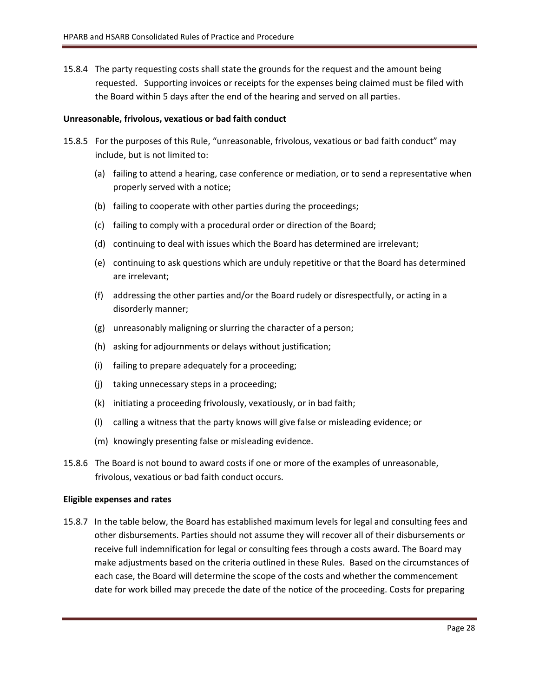15.8.4 The party requesting costs shall state the grounds for the request and the amount being requested. Supporting invoices or receipts for the expenses being claimed must be filed with the Board within 5 days after the end of the hearing and served on all parties.

### **Unreasonable, frivolous, vexatious or bad faith conduct**

- 15.8.5 For the purposes of this Rule, "unreasonable, frivolous, vexatious or bad faith conduct" may include, but is not limited to:
	- (a) failing to attend a hearing, case conference or mediation, or to send a representative when properly served with a notice;
	- (b) failing to cooperate with other parties during the proceedings;
	- (c) failing to comply with a procedural order or direction of the Board;
	- (d) continuing to deal with issues which the Board has determined are irrelevant;
	- (e) continuing to ask questions which are unduly repetitive or that the Board has determined are irrelevant;
	- (f) addressing the other parties and/or the Board rudely or disrespectfully, or acting in a disorderly manner;
	- (g) unreasonably maligning or slurring the character of a person;
	- (h) asking for adjournments or delays without justification;
	- (i) failing to prepare adequately for a proceeding;
	- (j) taking unnecessary steps in a proceeding;
	- (k) initiating a proceeding frivolously, vexatiously, or in bad faith;
	- (l) calling a witness that the party knows will give false or misleading evidence; or
	- (m) knowingly presenting false or misleading evidence.
- 15.8.6 The Board is not bound to award costs if one or more of the examples of unreasonable, frivolous, vexatious or bad faith conduct occurs.

### **Eligible expenses and rates**

15.8.7 In the table below, the Board has established maximum levels for legal and consulting fees and other disbursements. Parties should not assume they will recover all of their disbursements or receive full indemnification for legal or consulting fees through a costs award. The Board may make adjustments based on the criteria outlined in these Rules. Based on the circumstances of each case, the Board will determine the scope of the costs and whether the commencement date for work billed may precede the date of the notice of the proceeding. Costs for preparing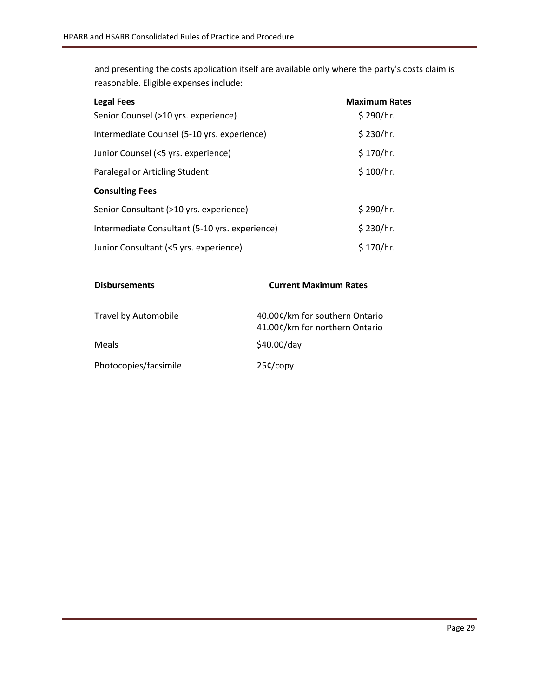and presenting the costs application itself are available only where the party's costs claim is reasonable. Eligible expenses include:

| <b>Legal Fees</b>                              | <b>Maximum Rates</b> |
|------------------------------------------------|----------------------|
| Senior Counsel (>10 yrs. experience)           | \$290/hr.            |
| Intermediate Counsel (5-10 yrs. experience)    | \$230/hr.            |
| Junior Counsel (<5 yrs. experience)            | \$170/hr.            |
| Paralegal or Articling Student                 | \$100/hr.            |
| <b>Consulting Fees</b>                         |                      |
| Senior Consultant (>10 yrs. experience)        | \$290/hr.            |
| Intermediate Consultant (5-10 yrs. experience) | \$230/hr.            |
| Junior Consultant (<5 yrs. experience)         | \$170/hr.            |

| <b>Disbursements</b>  | <b>Current Maximum Rates</b>                                     |  |
|-----------------------|------------------------------------------------------------------|--|
| Travel by Automobile  | 40.00¢/km for southern Ontario<br>41.00¢/km for northern Ontario |  |
| Meals                 | \$40.00/day                                                      |  |
| Photocopies/facsimile | $25c$ /copy                                                      |  |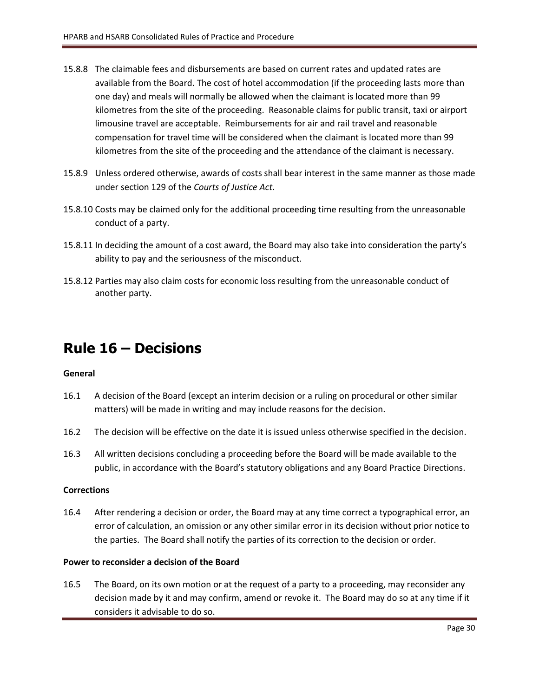- 15.8.8 The claimable fees and disbursements are based on current rates and updated rates are available from the Board. The cost of hotel accommodation (if the proceeding lasts more than one day) and meals will normally be allowed when the claimant is located more than 99 kilometres from the site of the proceeding. Reasonable claims for public transit, taxi or airport limousine travel are acceptable. Reimbursements for air and rail travel and reasonable compensation for travel time will be considered when the claimant is located more than 99 kilometres from the site of the proceeding and the attendance of the claimant is necessary.
- 15.8.9 Unless ordered otherwise, awards of costs shall bear interest in the same manner as those made under section 129 of the *Courts of Justice Act*.
- 15.8.10 Costs may be claimed only for the additional proceeding time resulting from the unreasonable conduct of a party.
- 15.8.11 In deciding the amount of a cost award, the Board may also take into consideration the party's ability to pay and the seriousness of the misconduct.
- 15.8.12 Parties may also claim costs for economic loss resulting from the unreasonable conduct of another party.

# <span id="page-29-0"></span>**Rule 16 – Decisions**

### **General**

- 16.1 A decision of the Board (except an interim decision or a ruling on procedural or other similar matters) will be made in writing and may include reasons for the decision.
- 16.2 The decision will be effective on the date it is issued unless otherwise specified in the decision.
- 16.3 All written decisions concluding a proceeding before the Board will be made available to the public, in accordance with the Board's statutory obligations and any Board Practice Directions.

### **Corrections**

16.4 After rendering a decision or order, the Board may at any time correct a typographical error, an error of calculation, an omission or any other similar error in its decision without prior notice to the parties. The Board shall notify the parties of its correction to the decision or order.

### **Power to reconsider a decision of the Board**

16.5 The Board, on its own motion or at the request of a party to a proceeding, may reconsider any decision made by it and may confirm, amend or revoke it. The Board may do so at any time if it considers it advisable to do so.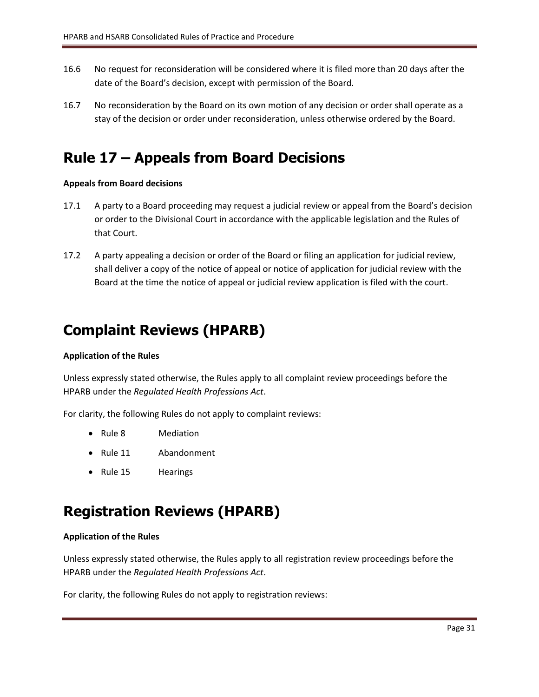- 16.6 No request for reconsideration will be considered where it is filed more than 20 days after the date of the Board's decision, except with permission of the Board.
- 16.7 No reconsideration by the Board on its own motion of any decision or order shall operate as a stay of the decision or order under reconsideration, unless otherwise ordered by the Board.

# <span id="page-30-0"></span>**Rule 17 – Appeals from Board Decisions**

### **Appeals from Board decisions**

- 17.1 A party to a Board proceeding may request a judicial review or appeal from the Board's decision or order to the Divisional Court in accordance with the applicable legislation and the Rules of that Court.
- 17.2 A party appealing a decision or order of the Board or filing an application for judicial review, shall deliver a copy of the notice of appeal or notice of application for judicial review with the Board at the time the notice of appeal or judicial review application is filed with the court.

# <span id="page-30-1"></span>**Complaint Reviews (HPARB)**

### **Application of the Rules**

Unless expressly stated otherwise, the Rules apply to all complaint review proceedings before the HPARB under the *Regulated Health Professions Act*.

For clarity, the following Rules do not apply to complaint reviews:

- Rule 8 Mediation
- Rule 11 Abandonment
- Rule 15 Hearings

# <span id="page-30-2"></span>**Registration Reviews (HPARB)**

### **Application of the Rules**

Unless expressly stated otherwise, the Rules apply to all registration review proceedings before the HPARB under the *Regulated Health Professions Act*.

For clarity, the following Rules do not apply to registration reviews: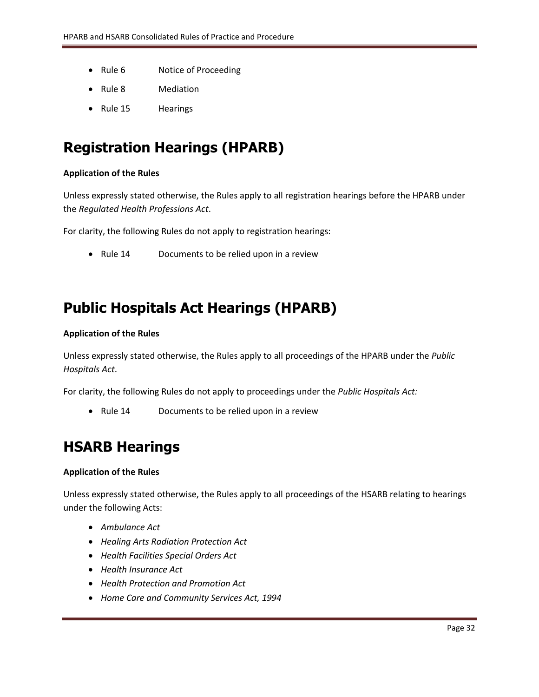- Rule 6 Notice of Proceeding
- Rule 8 Mediation
- Rule 15 Hearings

# <span id="page-31-0"></span>**Registration Hearings (HPARB)**

### **Application of the Rules**

Unless expressly stated otherwise, the Rules apply to all registration hearings before the HPARB under the *Regulated Health Professions Act*.

For clarity, the following Rules do not apply to registration hearings:

• Rule 14 Documents to be relied upon in a review

# <span id="page-31-1"></span>**Public Hospitals Act Hearings (HPARB)**

### **Application of the Rules**

Unless expressly stated otherwise, the Rules apply to all proceedings of the HPARB under the *Public Hospitals Act*.

For clarity, the following Rules do not apply to proceedings under the *Public Hospitals Act:*

• Rule 14 Documents to be relied upon in a review

# <span id="page-31-2"></span>**HSARB Hearings**

### **Application of the Rules**

Unless expressly stated otherwise, the Rules apply to all proceedings of the HSARB relating to hearings under the following Acts:

- *Ambulance Act*
- *Healing Arts Radiation Protection Act*
- *Health Facilities Special Orders Act*
- *Health Insurance Act*
- *Health Protection and Promotion Act*
- *Home Care and Community Services Act, 1994*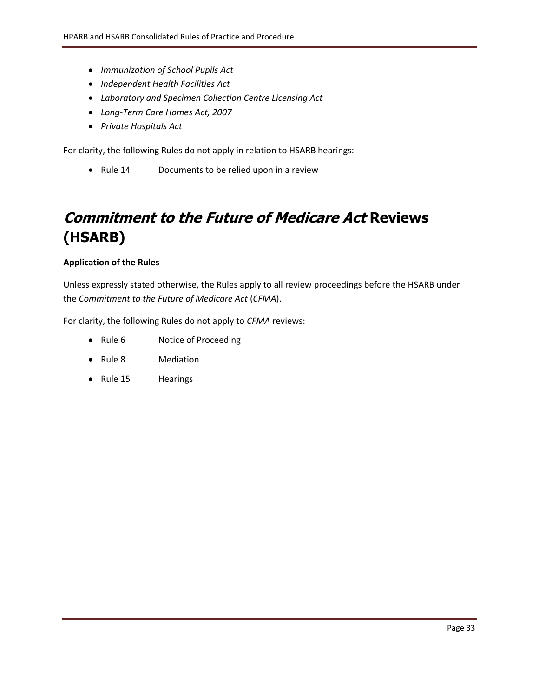- *Immunization of School Pupils Act*
- *Independent Health Facilities Act*
- *Laboratory and Specimen Collection Centre Licensing Act*
- *Long-Term Care Homes Act, 2007*
- *Private Hospitals Act*

For clarity, the following Rules do not apply in relation to HSARB hearings:

<span id="page-32-0"></span>• Rule 14 Documents to be relied upon in a review

# **Commitment to the Future of Medicare Act Reviews (HSARB)**

### **Application of the Rules**

Unless expressly stated otherwise, the Rules apply to all review proceedings before the HSARB under the *Commitment to the Future of Medicare Act* (*CFMA*).

For clarity, the following Rules do not apply to *CFMA* reviews:

- Rule 6 Notice of Proceeding
- Rule 8 Mediation
- Rule 15 Hearings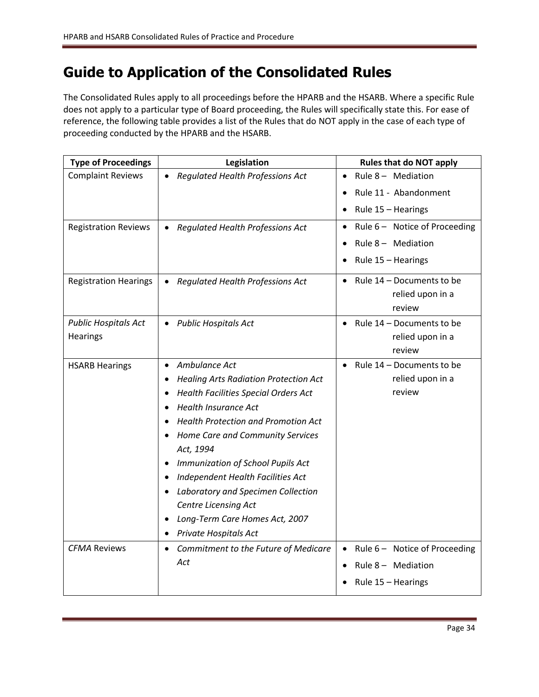# <span id="page-33-0"></span>**Guide to Application of the Consolidated Rules**

The Consolidated Rules apply to all proceedings before the HPARB and the HSARB. Where a specific Rule does not apply to a particular type of Board proceeding, the Rules will specifically state this. For ease of reference, the following table provides a list of the Rules that do NOT apply in the case of each type of proceeding conducted by the HPARB and the HSARB.

| <b>Type of Proceedings</b>   | Legislation                                               | <b>Rules that do NOT apply</b>      |
|------------------------------|-----------------------------------------------------------|-------------------------------------|
| <b>Complaint Reviews</b>     | <b>Regulated Health Professions Act</b><br>$\bullet$      | Rule 8 - Mediation<br>$\bullet$     |
|                              |                                                           | Rule 11 - Abandonment               |
|                              |                                                           | Rule 15 - Hearings                  |
| <b>Registration Reviews</b>  | Regulated Health Professions Act<br>$\bullet$             | Rule 6 - Notice of Proceeding       |
|                              |                                                           | Rule $8 -$ Mediation                |
|                              |                                                           | Rule 15 - Hearings                  |
| <b>Registration Hearings</b> | <b>Regulated Health Professions Act</b><br>$\bullet$      | Rule 14 - Documents to be           |
|                              |                                                           | relied upon in a                    |
| <b>Public Hospitals Act</b>  | <b>Public Hospitals Act</b><br>$\bullet$                  | review<br>Rule 14 - Documents to be |
| Hearings                     |                                                           | relied upon in a                    |
|                              |                                                           | review                              |
| <b>HSARB Hearings</b>        | Ambulance Act<br>$\bullet$                                | Rule 14 - Documents to be           |
|                              | <b>Healing Arts Radiation Protection Act</b><br>$\bullet$ | relied upon in a                    |
|                              | <b>Health Facilities Special Orders Act</b>               | review                              |
|                              | <b>Health Insurance Act</b>                               |                                     |
|                              | <b>Health Protection and Promotion Act</b>                |                                     |
|                              | Home Care and Community Services                          |                                     |
|                              | Act, 1994                                                 |                                     |
|                              | Immunization of School Pupils Act<br>٠                    |                                     |
|                              | Independent Health Facilities Act<br>٠                    |                                     |
|                              | Laboratory and Specimen Collection                        |                                     |
|                              | <b>Centre Licensing Act</b>                               |                                     |
|                              | Long-Term Care Homes Act, 2007<br>٠                       |                                     |
|                              | Private Hospitals Act<br>٠                                |                                     |
| <b>CFMA Reviews</b>          | Commitment to the Future of Medicare<br>$\bullet$         | Rule 6 - Notice of Proceeding       |
|                              | Act                                                       | Rule $8 -$ Mediation                |
|                              |                                                           | Rule 15 - Hearings                  |
|                              |                                                           |                                     |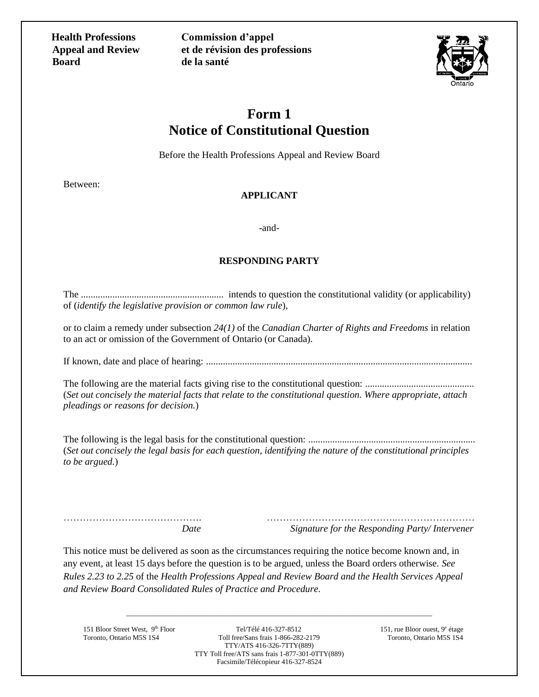**Health Professions Appeal and Review Board**

**Commission d'appel et de révision des professions de la santé**



### **Form 1 Notice of Constitutional Question**

Before the Health Professions Appeal and Review Board

Between:

### **APPLICANT**

-and-

### **RESPONDING PARTY**

The ........................................................... intends to question the constitutional validity (or applicability) of (*identify the legislative provision or common law rule*),

or to claim a remedy under subsection *24(1)* of the *Canadian Charter of Rights and Freedoms* in relation to an act or omission of the Government of Ontario (or Canada).

If known, date and place of hearing: ..............................................................................................................

The following are the material facts giving rise to the constitutional question: ............................................. (*Set out concisely the material facts that relate to the constitutional question. Where appropriate, attach pleadings or reasons for decision.*)

The following is the legal basis for the constitutional question: ..................................................................... (*Set out concisely the legal basis for each question, identifying the nature of the constitutional principles to be argued.*)

……………………………………. …………………………………..……………………  *Date Signature for the Responding Party/ Intervener*

This notice must be delivered as soon as the circumstances requiring the notice become known and, in any event, at least 15 days before the question is to be argued, unless the Board orders otherwise. *See Rules 2.23 to 2.25* of the *Health Professions Appeal and Review Board and the Health Services Appeal and Review Board Consolidated Rules of Practice and Procedure.*

Toronto, Ontario M5S 1S4

151 Bloor Street West, 9th Floor Tel/Télé 416-327-8512 151, rue Bloor ouest, 9<sup>e</sup> étage<br>Toronto, Ontario M5S 1S4 Toll free/Sans frais 1-866-282-2179 Toronto, Ontario M5S 1S4 TTY/ATS 416-326-7TTY(889) TTY Toll free/ATS sans frais 1-877-301-0TTY(889) Facsimile/Télécopieur 416-327-8524

\_\_\_\_\_\_\_\_\_\_\_\_\_\_\_\_\_\_\_\_\_\_\_\_\_\_\_\_\_\_\_\_\_\_\_\_\_\_\_\_\_\_\_\_\_\_\_\_\_\_\_\_\_\_\_\_\_\_\_\_\_\_\_\_\_\_\_\_\_\_\_\_\_\_\_\_\_\_\_\_\_\_\_\_\_\_\_

151, rue Bloor ouest, 9<sup>e</sup> étage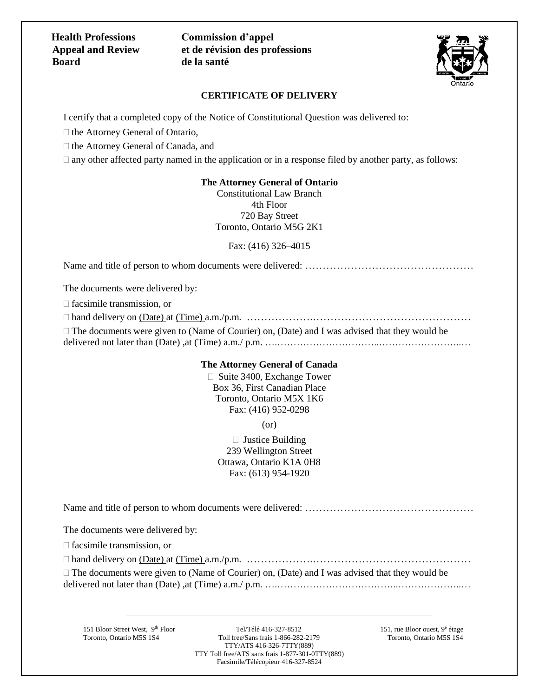### **Health Professions Appeal and Review Board**

**Commission d'appel et de révision des professions de la santé**



### **CERTIFICATE OF DELIVERY**

I certify that a completed copy of the Notice of Constitutional Question was delivered to:

 $\Box$  the Attorney General of Ontario,

 $\Box$  the Attorney General of Canada, and

 $\Box$  any other affected party named in the application or in a response filed by another party, as follows:

### **The Attorney General of Ontario**

Constitutional Law Branch 4th Floor 720 Bay Street Toronto, Ontario M5G 2K1

Fax: (416) 326–4015

Name and title of person to whom documents were delivered: ………………………………………………………

The documents were delivered by:

 $\Box$  facsimile transmission, or

hand delivery on (Date) at (Time) a.m./p.m. ……………….………………………………………

 $\Box$  The documents were given to (Name of Courier) on, (Date) and I was advised that they would be delivered not later than (Date), at (Time) a.m./ p.m. ………………………………………………………………………

### **The Attorney General of Canada**

 $\Box$  Suite 3400, Exchange Tower Box 36, First Canadian Place Toronto, Ontario M5X 1K6 Fax: (416) 952-0298

(or)

 $\Box$  Justice Building 239 Wellington Street Ottawa, Ontario K1A 0H8 Fax: (613) 954-1920

Name and title of person to whom documents were delivered: …………………………………………

The documents were delivered by:

 $\Box$  facsimile transmission, or

hand delivery on (Date) at (Time) a.m./p.m. ……………….………………………………………

 $\Box$  The documents were given to (Name of Courier) on, (Date) and I was advised that they would be delivered not later than (Date), at (Time) a.m./ p.m. ………………………………………………………………………

151 Bloor Street West, 9th Floor Tel/Télé 416-327-8512 151, rue Bloor ouest, 9<sup>e</sup> étage<br>Toronto, Ontario M5S 1S4 Toll free/Sans frais 1-866-282-2179 Toronto, Ontario M5S 1S4 Toll free/Sans frais  $1-866-282-2179$ TTY/ATS 416-326-7TTY(889) TTY Toll free/ATS sans frais 1-877-301-0TTY(889) Facsimile/Télécopieur 416-327-8524

\_\_\_\_\_\_\_\_\_\_\_\_\_\_\_\_\_\_\_\_\_\_\_\_\_\_\_\_\_\_\_\_\_\_\_\_\_\_\_\_\_\_\_\_\_\_\_\_\_\_\_\_\_\_\_\_\_\_\_\_\_\_\_\_\_\_\_\_\_\_\_\_\_\_\_\_\_\_\_\_\_\_\_\_\_\_\_

151, rue Bloor ouest,  $9^e$  étage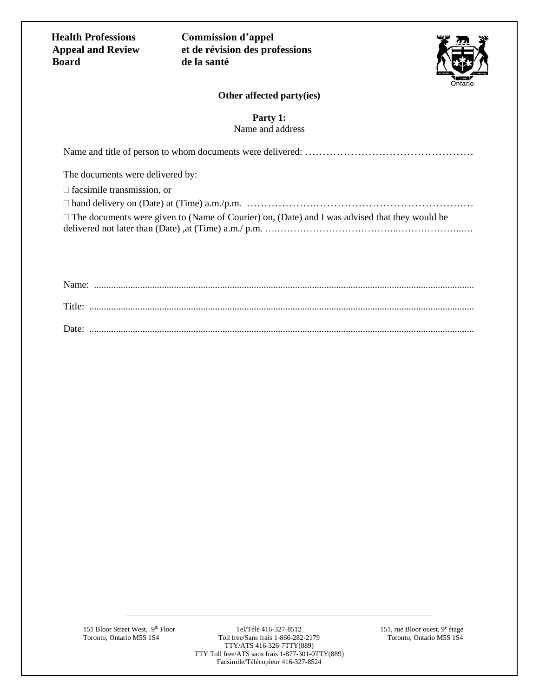**Health Professions Appeal and Review Board**

**Commission d'appel et de révision des professions de la santé**



### **Other affected party(ies)**

**Party 1:**

Name and address

| The documents were delivered by:                                                                     |
|------------------------------------------------------------------------------------------------------|
| $\Box$ facsimile transmission, or                                                                    |
|                                                                                                      |
| $\Box$ The documents were given to (Name of Courier) on, (Date) and I was advised that they would be |
|                                                                                                      |

| Title: |  |
|--------|--|
| Date:  |  |

151 Bloor Street West, 9th Floor Tel/Télé 416-327-8512 151, rue Bloor ouest, 9<sup>e</sup> étage<br>Toronto, Ontario M5S 1S4 166e/Sans frais 1-866-282-2179 151, rue Bloor ouest, 9<sup>e</sup> étage Toll free/Sans frais 1-866-282-2179 TTY/ATS 416-326-7TTY(889) TTY Toll free/ATS sans frais 1-877-301-0TTY(889) Facsimile/Télécopieur 416-327-8524

\_\_\_\_\_\_\_\_\_\_\_\_\_\_\_\_\_\_\_\_\_\_\_\_\_\_\_\_\_\_\_\_\_\_\_\_\_\_\_\_\_\_\_\_\_\_\_\_\_\_\_\_\_\_\_\_\_\_\_\_\_\_\_\_\_\_\_\_\_\_\_\_\_\_\_\_\_\_\_\_\_\_\_\_\_\_\_

151, rue Bloor ouest, 9<sup>e</sup> étage